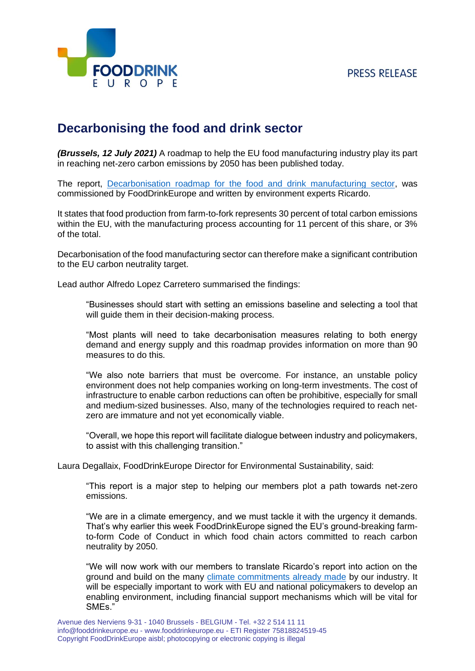## **PRESS RELEASE**



## **Decarbonising the food and drink sector**

*(Brussels, 12 July 2021)* A roadmap to help the EU food manufacturing industry play its part in reaching net-zero carbon emissions by 2050 has been published today.

The report, [Decarbonisation roadmap for the food and drink manufacturing sector,](https://www.fooddrinkeurope.eu/wp-content/uploads/2021/09/Decarbonising-the-European-food-and-drink-manufacturing-sector_v2.pdf) was commissioned by FoodDrinkEurope and written by environment experts Ricardo.

It states that food production from farm-to-fork represents 30 percent of total carbon emissions within the EU, with the manufacturing process accounting for 11 percent of this share, or 3% of the total.

Decarbonisation of the food manufacturing sector can therefore make a significant contribution to the EU carbon neutrality target.

Lead author Alfredo Lopez Carretero summarised the findings:

"Businesses should start with setting an emissions baseline and selecting a tool that will guide them in their decision-making process.

"Most plants will need to take decarbonisation measures relating to both energy demand and energy supply and this roadmap provides information on more than 90 measures to do this.

"We also note barriers that must be overcome. For instance, an unstable policy environment does not help companies working on long-term investments. The cost of infrastructure to enable carbon reductions can often be prohibitive, especially for small and medium-sized businesses. Also, many of the technologies required to reach netzero are immature and not yet economically viable.

"Overall, we hope this report will facilitate dialogue between industry and policymakers, to assist with this challenging transition."

Laura Degallaix, FoodDrinkEurope Director for Environmental Sustainability, said:

"This report is a major step to helping our members plot a path towards net-zero emissions.

"We are in a climate emergency, and we must tackle it with the urgency it demands. That's why earlier this week FoodDrinkEurope signed the EU's ground-breaking farmto-form Code of Conduct in which food chain actors committed to reach carbon neutrality by 2050.

"We will now work with our members to translate Ricardo's report into action on the ground and build on the many [climate commitments already made](https://www.fooddrinkeurope.eu/industry-actions/?search=climate) by our industry. It will be especially important to work with EU and national policymakers to develop an enabling environment, including financial support mechanisms which will be vital for SMEs."